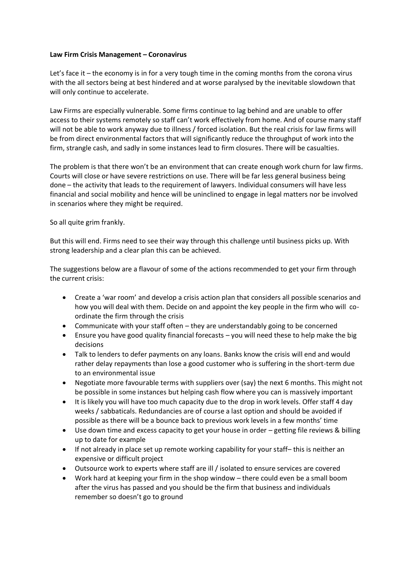## **Law Firm Crisis Management – Coronavirus**

Let's face it – the economy is in for a very tough time in the coming months from the corona virus with the all sectors being at best hindered and at worse paralysed by the inevitable slowdown that will only continue to accelerate.

Law Firms are especially vulnerable. Some firms continue to lag behind and are unable to offer access to their systems remotely so staff can't work effectively from home. And of course many staff will not be able to work anyway due to illness / forced isolation. But the real crisis for law firms will be from direct environmental factors that will significantly reduce the throughput of work into the firm, strangle cash, and sadly in some instances lead to firm closures. There will be casualties.

The problem is that there won't be an environment that can create enough work churn for law firms. Courts will close or have severe restrictions on use. There will be far less general business being done – the activity that leads to the requirement of lawyers. Individual consumers will have less financial and social mobility and hence will be uninclined to engage in legal matters nor be involved in scenarios where they might be required.

So all quite grim frankly.

But this will end. Firms need to see their way through this challenge until business picks up. With strong leadership and a clear plan this can be achieved.

The suggestions below are a flavour of some of the actions recommended to get your firm through the current crisis:

- Create a 'war room' and develop a crisis action plan that considers all possible scenarios and how you will deal with them. Decide on and appoint the key people in the firm who will coordinate the firm through the crisis
- Communicate with your staff often they are understandably going to be concerned
- Ensure you have good quality financial forecasts you will need these to help make the big decisions
- Talk to lenders to defer payments on any loans. Banks know the crisis will end and would rather delay repayments than lose a good customer who is suffering in the short-term due to an environmental issue
- Negotiate more favourable terms with suppliers over (say) the next 6 months. This might not be possible in some instances but helping cash flow where you can is massively important
- It is likely you will have too much capacity due to the drop in work levels. Offer staff 4 day weeks / sabbaticals. Redundancies are of course a last option and should be avoided if possible as there will be a bounce back to previous work levels in a few months' time
- Use down time and excess capacity to get your house in order getting file reviews & billing up to date for example
- If not already in place set up remote working capability for your staff– this is neither an expensive or difficult project
- Outsource work to experts where staff are ill / isolated to ensure services are covered
- Work hard at keeping your firm in the shop window there could even be a small boom after the virus has passed and you should be the firm that business and individuals remember so doesn't go to ground